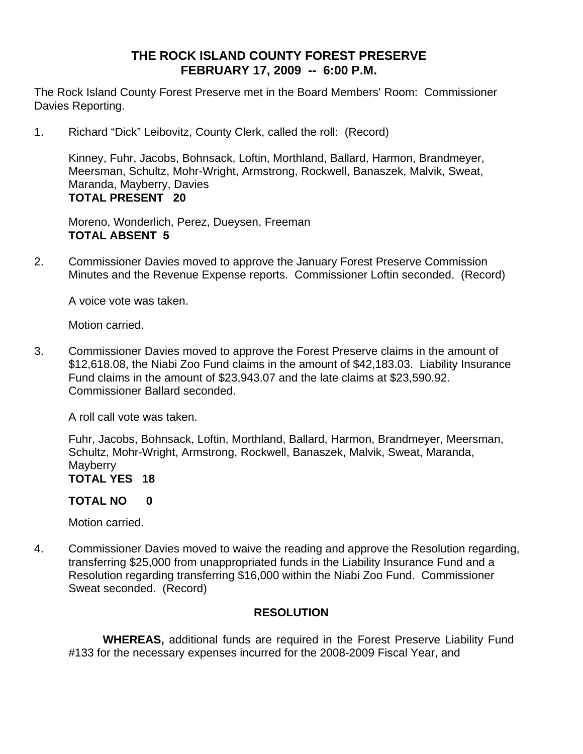## **THE ROCK ISLAND COUNTY FOREST PRESERVE FEBRUARY 17, 2009 -- 6:00 P.M.**

The Rock Island County Forest Preserve met in the Board Members' Room: Commissioner Davies Reporting.

1. Richard "Dick" Leibovitz, County Clerk, called the roll: (Record)

Kinney, Fuhr, Jacobs, Bohnsack, Loftin, Morthland, Ballard, Harmon, Brandmeyer, Meersman, Schultz, Mohr-Wright, Armstrong, Rockwell, Banaszek, Malvik, Sweat, Maranda, Mayberry, Davies **TOTAL PRESENT 20** 

Moreno, Wonderlich, Perez, Dueysen, Freeman **TOTAL ABSENT 5** 

2. Commissioner Davies moved to approve the January Forest Preserve Commission Minutes and the Revenue Expense reports. Commissioner Loftin seconded. (Record)

A voice vote was taken.

Motion carried.

3. Commissioner Davies moved to approve the Forest Preserve claims in the amount of \$12,618.08, the Niabi Zoo Fund claims in the amount of \$42,183.03. Liability Insurance Fund claims in the amount of \$23,943.07 and the late claims at \$23,590.92. Commissioner Ballard seconded.

A roll call vote was taken.

Fuhr, Jacobs, Bohnsack, Loftin, Morthland, Ballard, Harmon, Brandmeyer, Meersman, Schultz, Mohr-Wright, Armstrong, Rockwell, Banaszek, Malvik, Sweat, Maranda, **Mayberry** 

**TOTAL YES 18** 

#### **TOTAL NO 0**

Motion carried.

4. Commissioner Davies moved to waive the reading and approve the Resolution regarding, transferring \$25,000 from unappropriated funds in the Liability Insurance Fund and a Resolution regarding transferring \$16,000 within the Niabi Zoo Fund. Commissioner Sweat seconded. (Record)

## **RESOLUTION**

 **WHEREAS,** additional funds are required in the Forest Preserve Liability Fund #133 for the necessary expenses incurred for the 2008-2009 Fiscal Year, and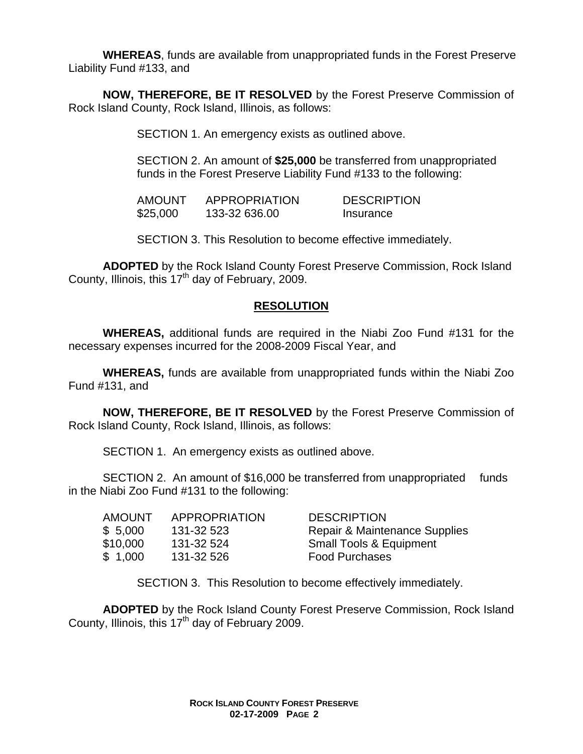**WHEREAS**, funds are available from unappropriated funds in the Forest Preserve Liability Fund #133, and

**NOW, THEREFORE, BE IT RESOLVED** by the Forest Preserve Commission of Rock Island County, Rock Island, Illinois, as follows:

SECTION 1. An emergency exists as outlined above.

SECTION 2. An amount of **\$25,000** be transferred from unappropriated funds in the Forest Preserve Liability Fund #133 to the following:

 AMOUNT APPROPRIATION DESCRIPTION \$25,000 133-32 636.00 Insurance

SECTION 3. This Resolution to become effective immediately.

**ADOPTED** by the Rock Island County Forest Preserve Commission, Rock Island County, Illinois, this  $17<sup>th</sup>$  day of February, 2009.

## **RESOLUTION**

 **WHEREAS,** additional funds are required in the Niabi Zoo Fund #131 for the necessary expenses incurred for the 2008-2009 Fiscal Year, and

**WHEREAS,** funds are available from unappropriated funds within the Niabi Zoo Fund #131, and

**NOW, THEREFORE, BE IT RESOLVED** by the Forest Preserve Commission of Rock Island County, Rock Island, Illinois, as follows:

SECTION 1. An emergency exists as outlined above.

SECTION 2. An amount of \$16,000 be transferred from unappropriated funds in the Niabi Zoo Fund #131 to the following:

| <b>AMOUNT</b> | APPROPRIATION | <b>DESCRIPTION</b>                       |
|---------------|---------------|------------------------------------------|
| \$5,000       | 131-32 523    | <b>Repair &amp; Maintenance Supplies</b> |
| \$10,000      | 131-32 524    | <b>Small Tools &amp; Equipment</b>       |
| \$1.000       | 131-32 526    | <b>Food Purchases</b>                    |

SECTION 3. This Resolution to become effectively immediately.

**ADOPTED** by the Rock Island County Forest Preserve Commission, Rock Island County, Illinois, this  $17<sup>th</sup>$  day of February 2009.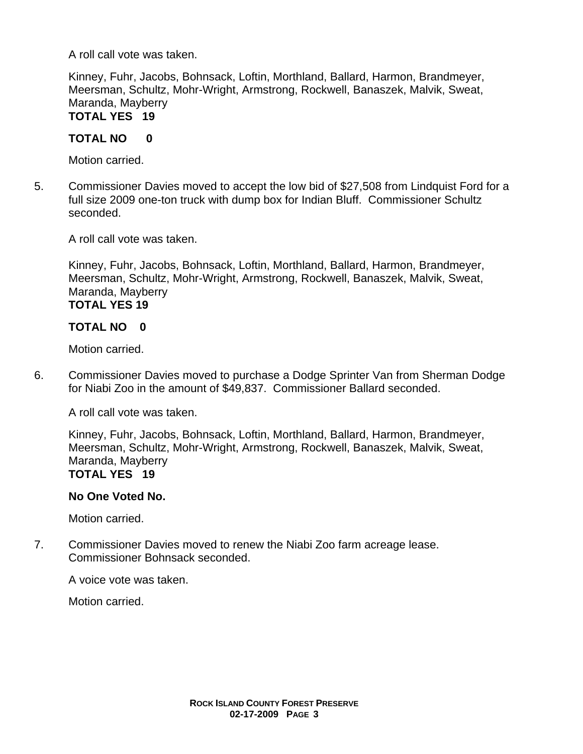A roll call vote was taken.

Kinney, Fuhr, Jacobs, Bohnsack, Loftin, Morthland, Ballard, Harmon, Brandmeyer, Meersman, Schultz, Mohr-Wright, Armstrong, Rockwell, Banaszek, Malvik, Sweat, Maranda, Mayberry

# **TOTAL YES 19**

## **TOTAL NO 0**

Motion carried.

5. Commissioner Davies moved to accept the low bid of \$27,508 from Lindquist Ford for a full size 2009 one-ton truck with dump box for Indian Bluff. Commissioner Schultz seconded.

A roll call vote was taken.

Kinney, Fuhr, Jacobs, Bohnsack, Loftin, Morthland, Ballard, Harmon, Brandmeyer, Meersman, Schultz, Mohr-Wright, Armstrong, Rockwell, Banaszek, Malvik, Sweat, Maranda, Mayberry

## **TOTAL YES 19**

## **TOTAL NO 0**

Motion carried.

6. Commissioner Davies moved to purchase a Dodge Sprinter Van from Sherman Dodge for Niabi Zoo in the amount of \$49,837. Commissioner Ballard seconded.

A roll call vote was taken.

Kinney, Fuhr, Jacobs, Bohnsack, Loftin, Morthland, Ballard, Harmon, Brandmeyer, Meersman, Schultz, Mohr-Wright, Armstrong, Rockwell, Banaszek, Malvik, Sweat, Maranda, Mayberry **TOTAL YES 19** 

## **No One Voted No.**

Motion carried.

7. Commissioner Davies moved to renew the Niabi Zoo farm acreage lease. Commissioner Bohnsack seconded.

A voice vote was taken.

Motion carried.